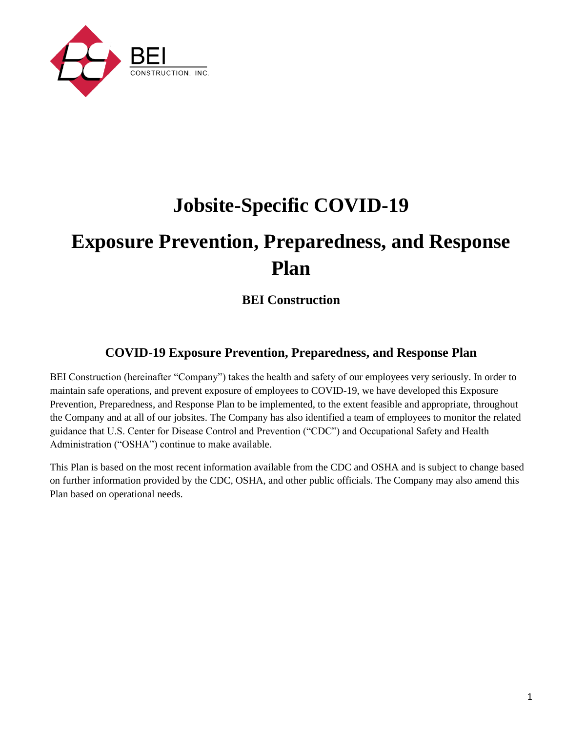

# **Jobsite-Specific COVID-19**

# **Exposure Prevention, Preparedness, and Response Plan**

# **BEI Construction**

# **COVID-19 Exposure Prevention, Preparedness, and Response Plan**

BEI Construction (hereinafter "Company") takes the health and safety of our employees very seriously. In order to maintain safe operations, and prevent exposure of employees to COVID-19, we have developed this Exposure Prevention, Preparedness, and Response Plan to be implemented, to the extent feasible and appropriate, throughout the Company and at all of our jobsites. The Company has also identified a team of employees to monitor the related guidance that U.S. Center for Disease Control and Prevention ("CDC") and Occupational Safety and Health Administration ("OSHA") continue to make available.

This Plan is based on the most recent information available from the CDC and OSHA and is subject to change based on further information provided by the CDC, OSHA, and other public officials. The Company may also amend this Plan based on operational needs.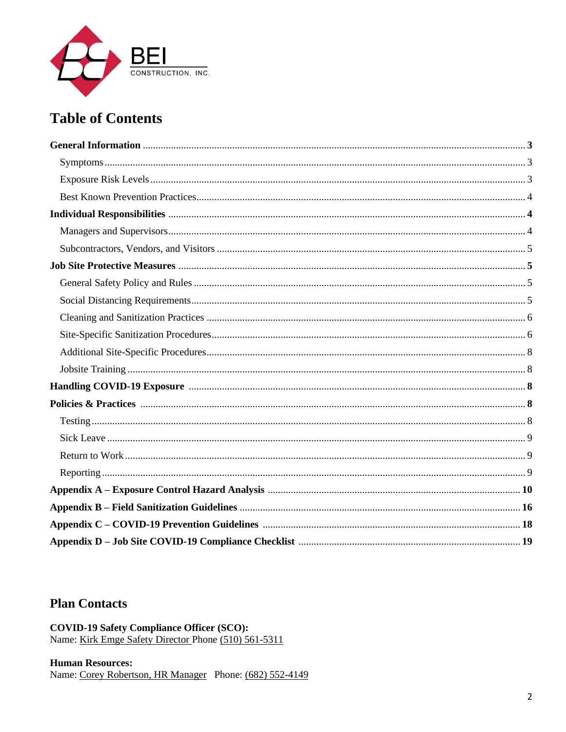

# **Table of Contents**

# **Plan Contacts**

**COVID-19 Safety Compliance Officer (SCO):** Name: Kirk Emge Safety Director Phone (510) 561-5311

#### **Human Resources:**

Name: Corey Robertson, HR Manager Phone: (682) 552-4149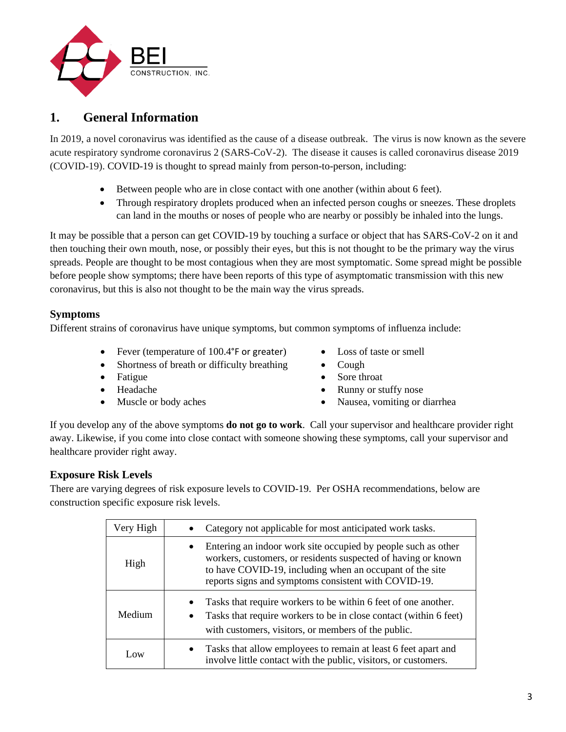

# **1. General Information**

In 2019, a novel coronavirus was identified as the cause of a disease outbreak. The virus is now known as the severe acute respiratory syndrome coronavirus 2 (SARS-CoV-2). The disease it causes is called coronavirus disease 2019 (COVID-19). COVID-19 is thought to spread mainly from person-to-person, including:

- Between people who are in close contact with one another (within about 6 feet).
- Through respiratory droplets produced when an infected person coughs or sneezes. These droplets can land in the mouths or noses of people who are nearby or possibly be inhaled into the lungs.

It may be possible that a person can get COVID-19 by touching a surface or object that has SARS-CoV-2 on it and then touching their own mouth, nose, or possibly their eyes, but this is not thought to be the primary way the virus spreads. People are thought to be most contagious when they are most symptomatic. Some spread might be possible before people show symptoms; there have been reports of this type of asymptomatic transmission with this new coronavirus, but this is also not thought to be the main way the virus spreads.

# **Symptoms**

Different strains of coronavirus have unique symptoms, but common symptoms of influenza include:

- Fever (temperature of 100.4°F or greater) Loss of taste or smell
- Shortness of breath or difficulty breathing Cough
- 
- 
- 
- 
- 
- Fatigue Sore throat
- Headache Runny or stuffy nose
- Muscle or body aches Nausea, vomiting or diarrhea

If you develop any of the above symptoms **do not go to work**. Call your supervisor and healthcare provider right away. Likewise, if you come into close contact with someone showing these symptoms, call your supervisor and healthcare provider right away.

# **Exposure Risk Levels**

There are varying degrees of risk exposure levels to COVID-19. Per OSHA recommendations, below are construction specific exposure risk levels.

| Very High | Category not applicable for most anticipated work tasks.                                                                                                                                                                                                        |
|-----------|-----------------------------------------------------------------------------------------------------------------------------------------------------------------------------------------------------------------------------------------------------------------|
| High      | Entering an indoor work site occupied by people such as other<br>$\bullet$<br>workers, customers, or residents suspected of having or known<br>to have COVID-19, including when an occupant of the site<br>reports signs and symptoms consistent with COVID-19. |
| Medium    | Tasks that require workers to be within 6 feet of one another.<br>Tasks that require workers to be in close contact (within 6 feet)<br>with customers, visitors, or members of the public.                                                                      |
| Low       | Tasks that allow employees to remain at least 6 feet apart and<br>involve little contact with the public, visitors, or customers.                                                                                                                               |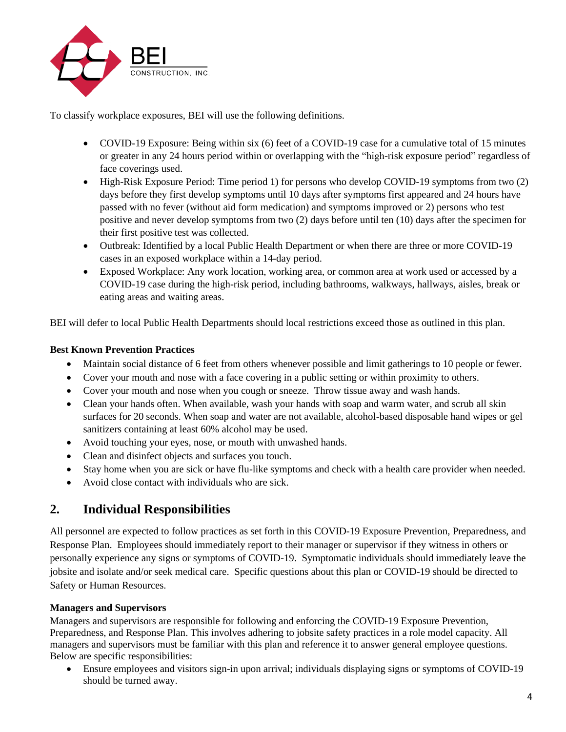

To classify workplace exposures, BEI will use the following definitions.

- COVID-19 Exposure: Being within six (6) feet of a COVID-19 case for a cumulative total of 15 minutes or greater in any 24 hours period within or overlapping with the "high-risk exposure period" regardless of face coverings used.
- High-Risk Exposure Period: Time period 1) for persons who develop COVID-19 symptoms from two (2) days before they first develop symptoms until 10 days after symptoms first appeared and 24 hours have passed with no fever (without aid form medication) and symptoms improved or 2) persons who test positive and never develop symptoms from two (2) days before until ten (10) days after the specimen for their first positive test was collected.
- Outbreak: Identified by a local Public Health Department or when there are three or more COVID-19 cases in an exposed workplace within a 14-day period.
- Exposed Workplace: Any work location, working area, or common area at work used or accessed by a COVID-19 case during the high-risk period, including bathrooms, walkways, hallways, aisles, break or eating areas and waiting areas.

BEI will defer to local Public Health Departments should local restrictions exceed those as outlined in this plan.

# **Best Known Prevention Practices**

- Maintain social distance of 6 feet from others whenever possible and limit gatherings to 10 people or fewer.
- Cover your mouth and nose with a face covering in a public setting or within proximity to others.
- Cover your mouth and nose when you cough or sneeze. Throw tissue away and wash hands.
- Clean your hands often. When available, wash your hands with soap and warm water, and scrub all skin surfaces for 20 seconds. When soap and water are not available, alcohol-based disposable hand wipes or gel sanitizers containing at least 60% alcohol may be used.
- Avoid touching your eyes, nose, or mouth with unwashed hands.
- Clean and disinfect objects and surfaces you touch.
- Stay home when you are sick or have flu-like symptoms and check with a health care provider when needed.
- Avoid close contact with individuals who are sick.

# **2. Individual Responsibilities**

All personnel are expected to follow practices as set forth in this COVID-19 Exposure Prevention, Preparedness, and Response Plan. Employees should immediately report to their manager or supervisor if they witness in others or personally experience any signs or symptoms of COVID-19. Symptomatic individuals should immediately leave the jobsite and isolate and/or seek medical care. Specific questions about this plan or COVID-19 should be directed to Safety or Human Resources.

# **Managers and Supervisors**

Managers and supervisors are responsible for following and enforcing the COVID-19 Exposure Prevention, Preparedness, and Response Plan. This involves adhering to jobsite safety practices in a role model capacity. All managers and supervisors must be familiar with this plan and reference it to answer general employee questions. Below are specific responsibilities:

• Ensure employees and visitors sign-in upon arrival; individuals displaying signs or symptoms of COVID-19 should be turned away.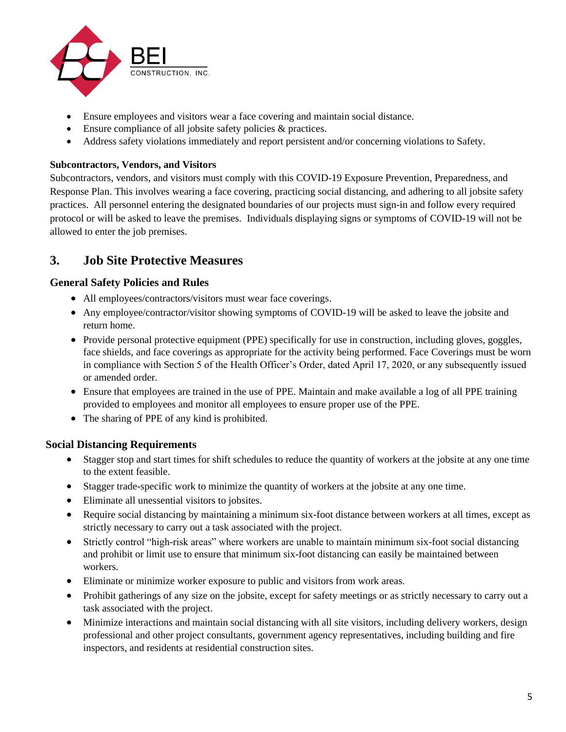

- Ensure employees and visitors wear a face covering and maintain social distance.
- Ensure compliance of all jobsite safety policies & practices.
- Address safety violations immediately and report persistent and/or concerning violations to Safety.

## **Subcontractors, Vendors, and Visitors**

Subcontractors, vendors, and visitors must comply with this COVID-19 Exposure Prevention, Preparedness, and Response Plan. This involves wearing a face covering, practicing social distancing, and adhering to all jobsite safety practices. All personnel entering the designated boundaries of our projects must sign-in and follow every required protocol or will be asked to leave the premises. Individuals displaying signs or symptoms of COVID-19 will not be allowed to enter the job premises.

# **3. Job Site Protective Measures**

# **General Safety Policies and Rules**

- All employees/contractors/visitors must wear face coverings.
- Any employee/contractor/visitor showing symptoms of COVID-19 will be asked to leave the jobsite and return home.
- Provide personal protective equipment (PPE) specifically for use in construction, including gloves, goggles, face shields, and face coverings as appropriate for the activity being performed. Face Coverings must be worn in compliance with Section 5 of the Health Officer's Order, dated April 17, 2020, or any subsequently issued or amended order.
- Ensure that employees are trained in the use of PPE. Maintain and make available a log of all PPE training provided to employees and monitor all employees to ensure proper use of the PPE.
- The sharing of PPE of any kind is prohibited.

# **Social Distancing Requirements**

- Stagger stop and start times for shift schedules to reduce the quantity of workers at the jobsite at any one time to the extent feasible.
- Stagger trade-specific work to minimize the quantity of workers at the jobsite at any one time.
- Eliminate all unessential visitors to jobsites.
- Require social distancing by maintaining a minimum six-foot distance between workers at all times, except as strictly necessary to carry out a task associated with the project.
- Strictly control "high-risk areas" where workers are unable to maintain minimum six-foot social distancing and prohibit or limit use to ensure that minimum six-foot distancing can easily be maintained between workers.
- Eliminate or minimize worker exposure to public and visitors from work areas.
- Prohibit gatherings of any size on the jobsite, except for safety meetings or as strictly necessary to carry out a task associated with the project.
- Minimize interactions and maintain social distancing with all site visitors, including delivery workers, design professional and other project consultants, government agency representatives, including building and fire inspectors, and residents at residential construction sites.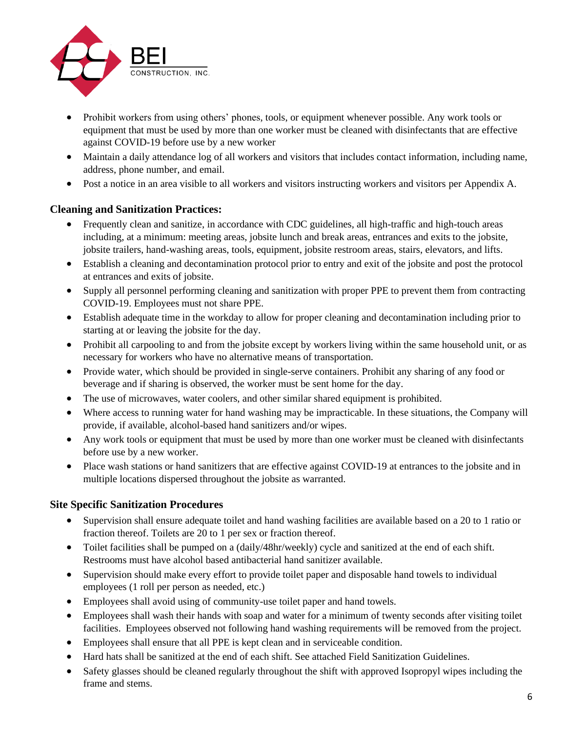

- Prohibit workers from using others' phones, tools, or equipment whenever possible. Any work tools or equipment that must be used by more than one worker must be cleaned with disinfectants that are effective against COVID-19 before use by a new worker
- Maintain a daily attendance log of all workers and visitors that includes contact information, including name, address, phone number, and email.
- Post a notice in an area visible to all workers and visitors instructing workers and visitors per Appendix A.

# **Cleaning and Sanitization Practices:**

- Frequently clean and sanitize, in accordance with CDC guidelines, all high-traffic and high-touch areas including, at a minimum: meeting areas, jobsite lunch and break areas, entrances and exits to the jobsite, jobsite trailers, hand-washing areas, tools, equipment, jobsite restroom areas, stairs, elevators, and lifts.
- Establish a cleaning and decontamination protocol prior to entry and exit of the jobsite and post the protocol at entrances and exits of jobsite.
- Supply all personnel performing cleaning and sanitization with proper PPE to prevent them from contracting COVID-19. Employees must not share PPE.
- Establish adequate time in the workday to allow for proper cleaning and decontamination including prior to starting at or leaving the jobsite for the day.
- Prohibit all carpooling to and from the jobsite except by workers living within the same household unit, or as necessary for workers who have no alternative means of transportation.
- Provide water, which should be provided in single-serve containers. Prohibit any sharing of any food or beverage and if sharing is observed, the worker must be sent home for the day.
- The use of microwaves, water coolers, and other similar shared equipment is prohibited.
- Where access to running water for hand washing may be impracticable. In these situations, the Company will provide, if available, alcohol-based hand sanitizers and/or wipes.
- Any work tools or equipment that must be used by more than one worker must be cleaned with disinfectants before use by a new worker.
- Place wash stations or hand sanitizers that are effective against COVID-19 at entrances to the jobsite and in multiple locations dispersed throughout the jobsite as warranted.

# **Site Specific Sanitization Procedures**

- Supervision shall ensure adequate toilet and hand washing facilities are available based on a 20 to 1 ratio or fraction thereof. Toilets are 20 to 1 per sex or fraction thereof.
- Toilet facilities shall be pumped on a (daily/48hr/weekly) cycle and sanitized at the end of each shift. Restrooms must have alcohol based antibacterial hand sanitizer available.
- Supervision should make every effort to provide toilet paper and disposable hand towels to individual employees (1 roll per person as needed, etc.)
- Employees shall avoid using of community-use toilet paper and hand towels.
- Employees shall wash their hands with soap and water for a minimum of twenty seconds after visiting toilet facilities. Employees observed not following hand washing requirements will be removed from the project.
- Employees shall ensure that all PPE is kept clean and in serviceable condition.
- Hard hats shall be sanitized at the end of each shift. See attached Field Sanitization Guidelines.
- Safety glasses should be cleaned regularly throughout the shift with approved Isopropyl wipes including the frame and stems.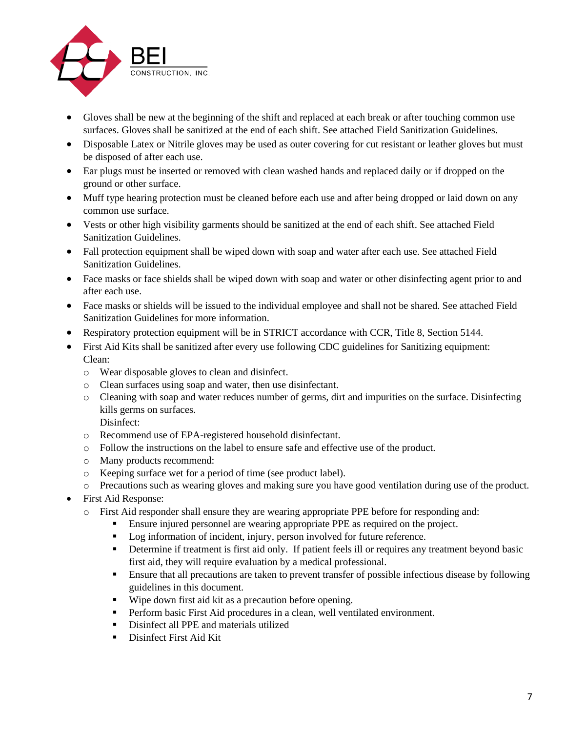![](_page_6_Picture_0.jpeg)

- Gloves shall be new at the beginning of the shift and replaced at each break or after touching common use surfaces. Gloves shall be sanitized at the end of each shift. See attached Field Sanitization Guidelines.
- Disposable Latex or Nitrile gloves may be used as outer covering for cut resistant or leather gloves but must be disposed of after each use.
- Ear plugs must be inserted or removed with clean washed hands and replaced daily or if dropped on the ground or other surface.
- Muff type hearing protection must be cleaned before each use and after being dropped or laid down on any common use surface.
- Vests or other high visibility garments should be sanitized at the end of each shift. See attached Field Sanitization Guidelines.
- Fall protection equipment shall be wiped down with soap and water after each use. See attached Field Sanitization Guidelines.
- Face masks or face shields shall be wiped down with soap and water or other disinfecting agent prior to and after each use.
- Face masks or shields will be issued to the individual employee and shall not be shared. See attached Field Sanitization Guidelines for more information.
- Respiratory protection equipment will be in STRICT accordance with CCR, Title 8, Section 5144.
- First Aid Kits shall be sanitized after every use following CDC guidelines for Sanitizing equipment: Clean:
	- o Wear disposable gloves to clean and disinfect.
	- o Clean surfaces using soap and water, then use disinfectant.
	- o Cleaning with soap and water reduces number of germs, dirt and impurities on the surface. Disinfecting kills germs on surfaces. Disinfect:
	- o Recommend use of EPA-registered household disinfectant.
	- o Follow the instructions on the label to ensure safe and effective use of the product.
	- o Many products recommend:
	- o Keeping surface wet for a period of time (see product label).
	- o Precautions such as wearing gloves and making sure you have good ventilation during use of the product.
- First Aid Response:
	- o First Aid responder shall ensure they are wearing appropriate PPE before for responding and:
		- **Ensure injured personnel are wearing appropriate PPE as required on the project.**
		- Log information of incident, injury, person involved for future reference.
		- **•** Determine if treatment is first aid only. If patient feels ill or requires any treatment beyond basic first aid, they will require evaluation by a medical professional.
		- **Ensure that all precautions are taken to prevent transfer of possible infectious disease by following** guidelines in this document.
		- Wipe down first aid kit as a precaution before opening.
		- **•** Perform basic First Aid procedures in a clean, well ventilated environment.
		- **•** Disinfect all PPE and materials utilized
		- Disinfect First Aid Kit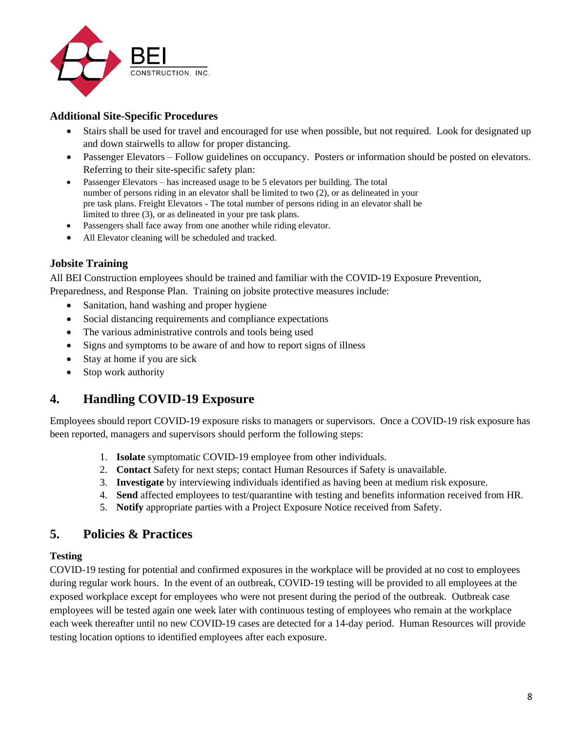![](_page_7_Picture_0.jpeg)

# **Additional Site-Specific Procedures**

- Stairs shall be used for travel and encouraged for use when possible, but not required. Look for designated up and down stairwells to allow for proper distancing.
- Passenger Elevators Follow guidelines on occupancy. Posters or information should be posted on elevators. Referring to their site-specific safety plan:
- Passenger Elevators has increased usage to be 5 elevators per building. The total number of persons riding in an elevator shall be limited to two (2), or as delineated in your pre task plans. Freight Elevators - The total number of persons riding in an elevator shall be limited to three (3), or as delineated in your pre task plans.
- Passengers shall face away from one another while riding elevator.
- All Elevator cleaning will be scheduled and tracked.

# **Jobsite Training**

All BEI Construction employees should be trained and familiar with the COVID-19 Exposure Prevention, Preparedness, and Response Plan. Training on jobsite protective measures include:

- Sanitation, hand washing and proper hygiene
- Social distancing requirements and compliance expectations
- The various administrative controls and tools being used
- Signs and symptoms to be aware of and how to report signs of illness
- Stay at home if you are sick
- Stop work authority

# **4. Handling COVID-19 Exposure**

Employees should report COVID-19 exposure risks to managers or supervisors. Once a COVID-19 risk exposure has been reported, managers and supervisors should perform the following steps:

- 1. **Isolate** symptomatic COVID-19 employee from other individuals.
- 2. **Contact** Safety for next steps; contact Human Resources if Safety is unavailable.
- 3. **Investigate** by interviewing individuals identified as having been at medium risk exposure.
- 4. **Send** affected employees to test/quarantine with testing and benefits information received from HR.
- 5. **Notify** appropriate parties with a Project Exposure Notice received from Safety.

# **5. Policies & Practices**

## **Testing**

COVID-19 testing for potential and confirmed exposures in the workplace will be provided at no cost to employees during regular work hours. In the event of an outbreak, COVID-19 testing will be provided to all employees at the exposed workplace except for employees who were not present during the period of the outbreak. Outbreak case employees will be tested again one week later with continuous testing of employees who remain at the workplace each week thereafter until no new COVID-19 cases are detected for a 14-day period. Human Resources will provide testing location options to identified employees after each exposure.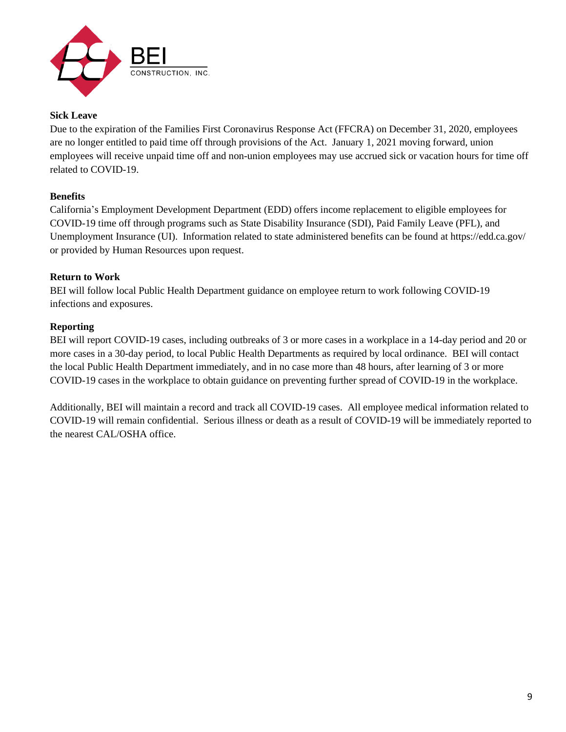![](_page_8_Picture_0.jpeg)

## **Sick Leave**

Due to the expiration of the Families First Coronavirus Response Act (FFCRA) on December 31, 2020, employees are no longer entitled to paid time off through provisions of the Act. January 1, 2021 moving forward, union employees will receive unpaid time off and non-union employees may use accrued sick or vacation hours for time off related to COVID-19.

## **Benefits**

California's Employment Development Department (EDD) offers income replacement to eligible employees for COVID-19 time off through programs such as State Disability Insurance (SDI), Paid Family Leave (PFL), and Unemployment Insurance (UI). Information related to state administered benefits can be found at https://edd.ca.gov/ or provided by Human Resources upon request.

## **Return to Work**

BEI will follow local Public Health Department guidance on employee return to work following COVID-19 infections and exposures.

## **Reporting**

BEI will report COVID-19 cases, including outbreaks of 3 or more cases in a workplace in a 14-day period and 20 or more cases in a 30-day period, to local Public Health Departments as required by local ordinance. BEI will contact the local Public Health Department immediately, and in no case more than 48 hours, after learning of 3 or more COVID-19 cases in the workplace to obtain guidance on preventing further spread of COVID-19 in the workplace.

Additionally, BEI will maintain a record and track all COVID-19 cases. All employee medical information related to COVID-19 will remain confidential. Serious illness or death as a result of COVID-19 will be immediately reported to the nearest CAL/OSHA office.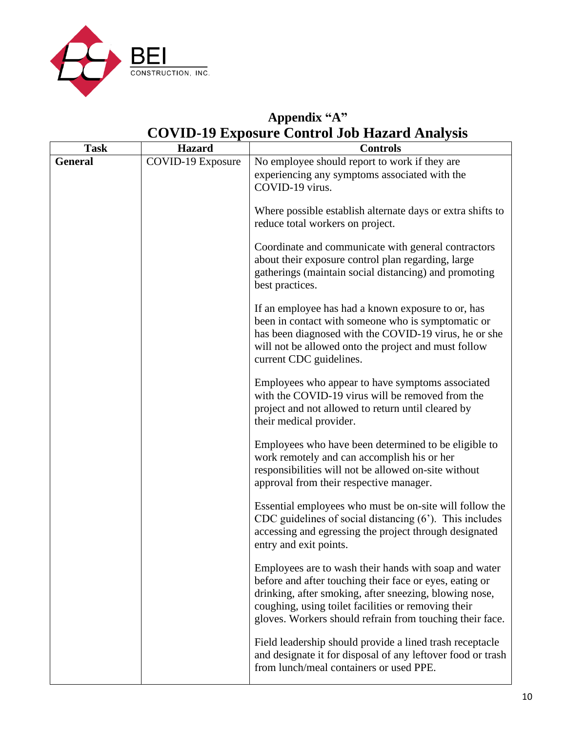![](_page_9_Picture_0.jpeg)

# **Appendix "A" COVID-19 Exposure Control Job Hazard Analysis**

| <b>Task</b>    | <b>Hazard</b>            | <b>Controls</b>                                                                                                                                                                                                                                                                               |
|----------------|--------------------------|-----------------------------------------------------------------------------------------------------------------------------------------------------------------------------------------------------------------------------------------------------------------------------------------------|
| <b>General</b> | <b>COVID-19 Exposure</b> | No employee should report to work if they are                                                                                                                                                                                                                                                 |
|                |                          | experiencing any symptoms associated with the                                                                                                                                                                                                                                                 |
|                |                          | COVID-19 virus.                                                                                                                                                                                                                                                                               |
|                |                          | Where possible establish alternate days or extra shifts to<br>reduce total workers on project.                                                                                                                                                                                                |
|                |                          | Coordinate and communicate with general contractors<br>about their exposure control plan regarding, large<br>gatherings (maintain social distancing) and promoting<br>best practices.                                                                                                         |
|                |                          | If an employee has had a known exposure to or, has<br>been in contact with someone who is symptomatic or<br>has been diagnosed with the COVID-19 virus, he or she<br>will not be allowed onto the project and must follow<br>current CDC guidelines.                                          |
|                |                          | Employees who appear to have symptoms associated<br>with the COVID-19 virus will be removed from the<br>project and not allowed to return until cleared by<br>their medical provider.                                                                                                         |
|                |                          | Employees who have been determined to be eligible to<br>work remotely and can accomplish his or her<br>responsibilities will not be allowed on-site without<br>approval from their respective manager.                                                                                        |
|                |                          | Essential employees who must be on-site will follow the<br>CDC guidelines of social distancing $(6')$ . This includes<br>accessing and egressing the project through designated<br>entry and exit points.                                                                                     |
|                |                          | Employees are to wash their hands with soap and water<br>before and after touching their face or eyes, eating or<br>drinking, after smoking, after sneezing, blowing nose,<br>coughing, using toilet facilities or removing their<br>gloves. Workers should refrain from touching their face. |
|                |                          | Field leadership should provide a lined trash receptacle<br>and designate it for disposal of any leftover food or trash<br>from lunch/meal containers or used PPE.                                                                                                                            |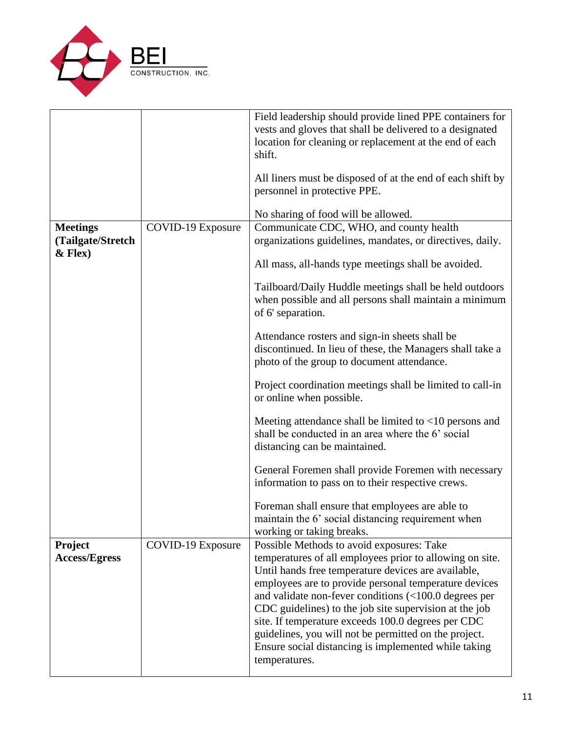![](_page_10_Picture_0.jpeg)

|                                                   |                   | Field leadership should provide lined PPE containers for<br>vests and gloves that shall be delivered to a designated<br>location for cleaning or replacement at the end of each<br>shift.<br>All liners must be disposed of at the end of each shift by<br>personnel in protective PPE.                                                                                                                                                                                                                                                           |
|---------------------------------------------------|-------------------|---------------------------------------------------------------------------------------------------------------------------------------------------------------------------------------------------------------------------------------------------------------------------------------------------------------------------------------------------------------------------------------------------------------------------------------------------------------------------------------------------------------------------------------------------|
|                                                   |                   | No sharing of food will be allowed.                                                                                                                                                                                                                                                                                                                                                                                                                                                                                                               |
| <b>Meetings</b><br>(Tailgate/Stretch<br>$&$ Flex) | COVID-19 Exposure | Communicate CDC, WHO, and county health<br>organizations guidelines, mandates, or directives, daily.                                                                                                                                                                                                                                                                                                                                                                                                                                              |
|                                                   |                   | All mass, all-hands type meetings shall be avoided.                                                                                                                                                                                                                                                                                                                                                                                                                                                                                               |
|                                                   |                   | Tailboard/Daily Huddle meetings shall be held outdoors<br>when possible and all persons shall maintain a minimum<br>of 6' separation.                                                                                                                                                                                                                                                                                                                                                                                                             |
|                                                   |                   | Attendance rosters and sign-in sheets shall be<br>discontinued. In lieu of these, the Managers shall take a<br>photo of the group to document attendance.                                                                                                                                                                                                                                                                                                                                                                                         |
|                                                   |                   | Project coordination meetings shall be limited to call-in<br>or online when possible.                                                                                                                                                                                                                                                                                                                                                                                                                                                             |
|                                                   |                   | Meeting attendance shall be limited to $\langle 10 \rangle$ persons and<br>shall be conducted in an area where the 6' social<br>distancing can be maintained.                                                                                                                                                                                                                                                                                                                                                                                     |
|                                                   |                   | General Foremen shall provide Foremen with necessary<br>information to pass on to their respective crews.                                                                                                                                                                                                                                                                                                                                                                                                                                         |
|                                                   |                   | Foreman shall ensure that employees are able to<br>maintain the 6' social distancing requirement when<br>working or taking breaks.                                                                                                                                                                                                                                                                                                                                                                                                                |
| <b>Project</b><br><b>Access/Egress</b>            | COVID-19 Exposure | Possible Methods to avoid exposures: Take<br>temperatures of all employees prior to allowing on site.<br>Until hands free temperature devices are available,<br>employees are to provide personal temperature devices<br>and validate non-fever conditions $\left( < 100.0 \right)$ degrees per<br>CDC guidelines) to the job site supervision at the job<br>site. If temperature exceeds 100.0 degrees per CDC<br>guidelines, you will not be permitted on the project.<br>Ensure social distancing is implemented while taking<br>temperatures. |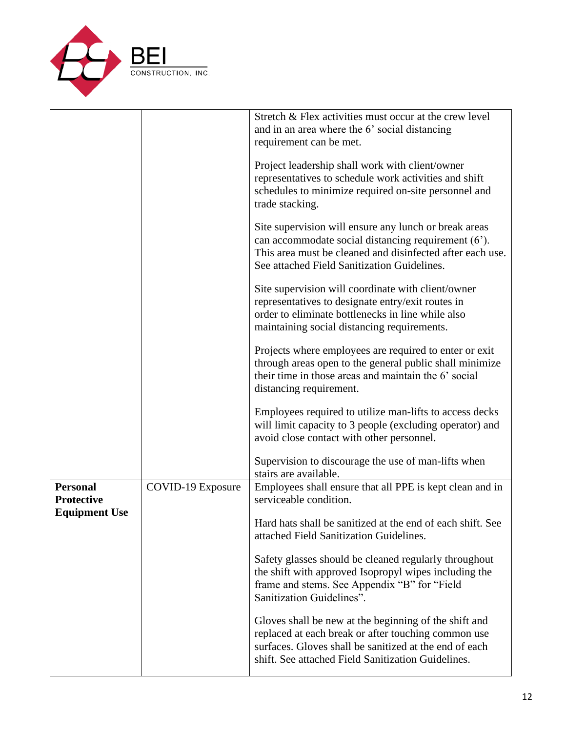![](_page_11_Picture_0.jpeg)

|                                      |                   | Stretch & Flex activities must occur at the crew level<br>and in an area where the 6' social distancing<br>requirement can be met.                                                                                           |
|--------------------------------------|-------------------|------------------------------------------------------------------------------------------------------------------------------------------------------------------------------------------------------------------------------|
|                                      |                   | Project leadership shall work with client/owner<br>representatives to schedule work activities and shift<br>schedules to minimize required on-site personnel and<br>trade stacking.                                          |
|                                      |                   | Site supervision will ensure any lunch or break areas<br>can accommodate social distancing requirement (6').<br>This area must be cleaned and disinfected after each use.<br>See attached Field Sanitization Guidelines.     |
|                                      |                   | Site supervision will coordinate with client/owner<br>representatives to designate entry/exit routes in<br>order to eliminate bottlenecks in line while also<br>maintaining social distancing requirements.                  |
|                                      |                   | Projects where employees are required to enter or exit<br>through areas open to the general public shall minimize<br>their time in those areas and maintain the 6' social<br>distancing requirement.                         |
|                                      |                   | Employees required to utilize man-lifts to access decks<br>will limit capacity to 3 people (excluding operator) and<br>avoid close contact with other personnel.                                                             |
|                                      |                   | Supervision to discourage the use of man-lifts when<br>stairs are available.                                                                                                                                                 |
| <b>Personal</b><br><b>Protective</b> | COVID-19 Exposure | Employees shall ensure that all PPE is kept clean and in<br>serviceable condition.                                                                                                                                           |
| <b>Equipment Use</b>                 |                   | Hard hats shall be sanitized at the end of each shift. See<br>attached Field Sanitization Guidelines.                                                                                                                        |
|                                      |                   | Safety glasses should be cleaned regularly throughout<br>the shift with approved Isopropyl wipes including the<br>frame and stems. See Appendix "B" for "Field<br>Sanitization Guidelines".                                  |
|                                      |                   | Gloves shall be new at the beginning of the shift and<br>replaced at each break or after touching common use<br>surfaces. Gloves shall be sanitized at the end of each<br>shift. See attached Field Sanitization Guidelines. |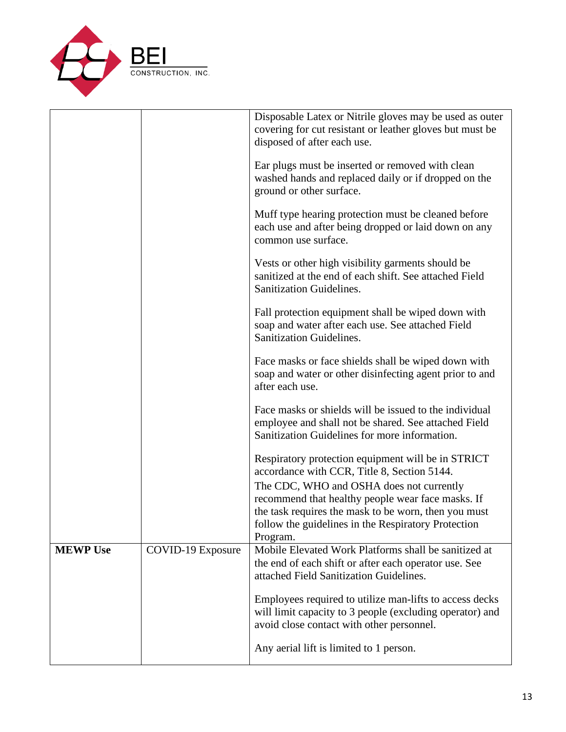![](_page_12_Picture_0.jpeg)

|                 |                          | Disposable Latex or Nitrile gloves may be used as outer<br>covering for cut resistant or leather gloves but must be<br>disposed of after each use.               |
|-----------------|--------------------------|------------------------------------------------------------------------------------------------------------------------------------------------------------------|
|                 |                          | Ear plugs must be inserted or removed with clean<br>washed hands and replaced daily or if dropped on the<br>ground or other surface.                             |
|                 |                          | Muff type hearing protection must be cleaned before<br>each use and after being dropped or laid down on any<br>common use surface.                               |
|                 |                          | Vests or other high visibility garments should be<br>sanitized at the end of each shift. See attached Field<br>Sanitization Guidelines.                          |
|                 |                          | Fall protection equipment shall be wiped down with<br>soap and water after each use. See attached Field<br><b>Sanitization Guidelines.</b>                       |
|                 |                          | Face masks or face shields shall be wiped down with<br>soap and water or other disinfecting agent prior to and<br>after each use.                                |
|                 |                          | Face masks or shields will be issued to the individual<br>employee and shall not be shared. See attached Field<br>Sanitization Guidelines for more information.  |
|                 |                          | Respiratory protection equipment will be in STRICT<br>accordance with CCR, Title 8, Section 5144.<br>The CDC, WHO and OSHA does not currently                    |
|                 |                          | recommend that healthy people wear face masks. If<br>the task requires the mask to be worn, then you must                                                        |
|                 |                          | follow the guidelines in the Respiratory Protection<br>Program.                                                                                                  |
| <b>MEWP Use</b> | <b>COVID-19 Exposure</b> | Mobile Elevated Work Platforms shall be sanitized at<br>the end of each shift or after each operator use. See<br>attached Field Sanitization Guidelines.         |
|                 |                          | Employees required to utilize man-lifts to access decks<br>will limit capacity to 3 people (excluding operator) and<br>avoid close contact with other personnel. |
|                 |                          | Any aerial lift is limited to 1 person.                                                                                                                          |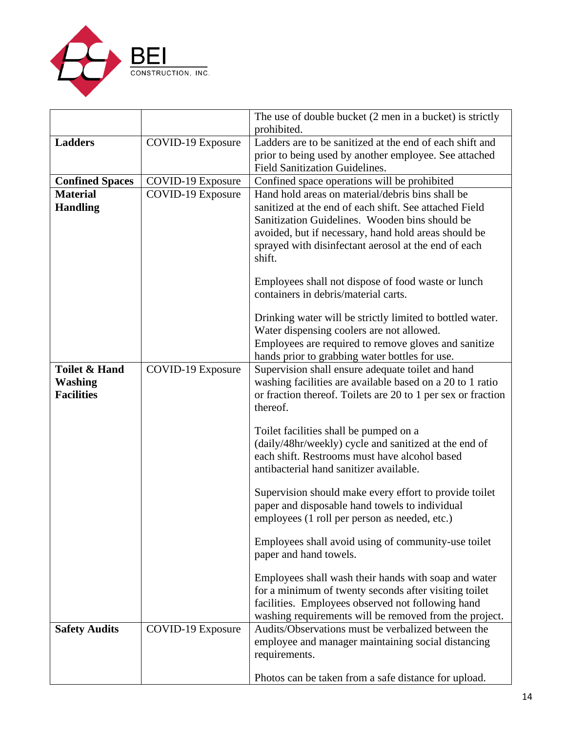![](_page_13_Picture_0.jpeg)

|                                    |                          | The use of double bucket (2 men in a bucket) is strictly                                                                                                                                                                                                                               |
|------------------------------------|--------------------------|----------------------------------------------------------------------------------------------------------------------------------------------------------------------------------------------------------------------------------------------------------------------------------------|
|                                    |                          | prohibited.                                                                                                                                                                                                                                                                            |
| <b>Ladders</b>                     | <b>COVID-19 Exposure</b> | Ladders are to be sanitized at the end of each shift and                                                                                                                                                                                                                               |
|                                    |                          | prior to being used by another employee. See attached                                                                                                                                                                                                                                  |
|                                    |                          | <b>Field Sanitization Guidelines.</b>                                                                                                                                                                                                                                                  |
| <b>Confined Spaces</b>             | <b>COVID-19 Exposure</b> | Confined space operations will be prohibited                                                                                                                                                                                                                                           |
| <b>Material</b><br><b>Handling</b> | COVID-19 Exposure        | Hand hold areas on material/debris bins shall be<br>sanitized at the end of each shift. See attached Field<br>Sanitization Guidelines. Wooden bins should be<br>avoided, but if necessary, hand hold areas should be<br>sprayed with disinfectant aerosol at the end of each<br>shift. |
|                                    |                          | Employees shall not dispose of food waste or lunch<br>containers in debris/material carts.                                                                                                                                                                                             |
|                                    |                          | Drinking water will be strictly limited to bottled water.<br>Water dispensing coolers are not allowed.                                                                                                                                                                                 |
|                                    |                          | Employees are required to remove gloves and sanitize                                                                                                                                                                                                                                   |
|                                    |                          | hands prior to grabbing water bottles for use.                                                                                                                                                                                                                                         |
| <b>Toilet &amp; Hand</b>           | COVID-19 Exposure        | Supervision shall ensure adequate toilet and hand                                                                                                                                                                                                                                      |
| <b>Washing</b>                     |                          | washing facilities are available based on a 20 to 1 ratio                                                                                                                                                                                                                              |
| <b>Facilities</b>                  |                          | or fraction thereof. Toilets are 20 to 1 per sex or fraction<br>thereof.                                                                                                                                                                                                               |
|                                    |                          | Toilet facilities shall be pumped on a<br>(daily/48hr/weekly) cycle and sanitized at the end of<br>each shift. Restrooms must have alcohol based<br>antibacterial hand sanitizer available.                                                                                            |
|                                    |                          | Supervision should make every effort to provide toilet<br>paper and disposable hand towels to individual<br>employees (1 roll per person as needed, etc.)                                                                                                                              |
|                                    |                          | Employees shall avoid using of community-use toilet<br>paper and hand towels.                                                                                                                                                                                                          |
|                                    |                          | Employees shall wash their hands with soap and water<br>for a minimum of twenty seconds after visiting toilet<br>facilities. Employees observed not following hand<br>washing requirements will be removed from the project.                                                           |
| <b>Safety Audits</b>               | <b>COVID-19 Exposure</b> | Audits/Observations must be verbalized between the<br>employee and manager maintaining social distancing<br>requirements.                                                                                                                                                              |
|                                    |                          | Photos can be taken from a safe distance for upload.                                                                                                                                                                                                                                   |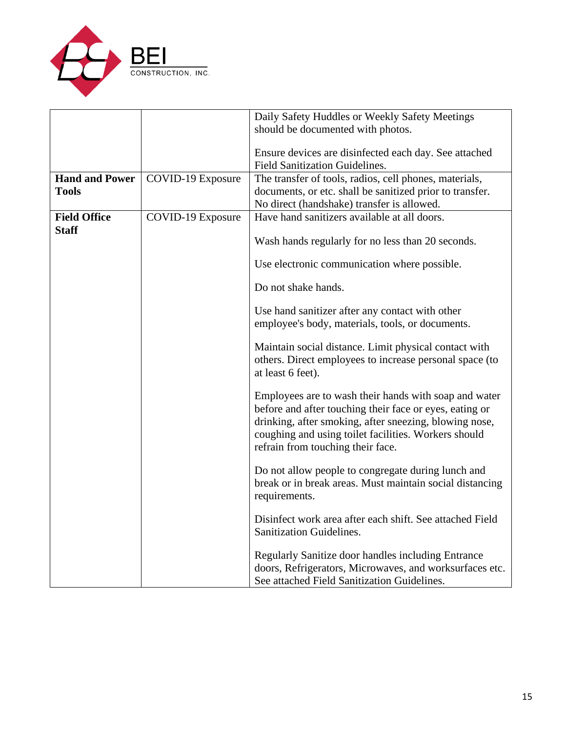![](_page_14_Picture_0.jpeg)

|                       |                   | Daily Safety Huddles or Weekly Safety Meetings                                                                                                                                                                                                                          |
|-----------------------|-------------------|-------------------------------------------------------------------------------------------------------------------------------------------------------------------------------------------------------------------------------------------------------------------------|
|                       |                   | should be documented with photos.                                                                                                                                                                                                                                       |
|                       |                   | Ensure devices are disinfected each day. See attached<br><b>Field Sanitization Guidelines.</b>                                                                                                                                                                          |
| <b>Hand and Power</b> | COVID-19 Exposure | The transfer of tools, radios, cell phones, materials,                                                                                                                                                                                                                  |
| <b>Tools</b>          |                   | documents, or etc. shall be sanitized prior to transfer.                                                                                                                                                                                                                |
|                       |                   | No direct (handshake) transfer is allowed.                                                                                                                                                                                                                              |
| <b>Field Office</b>   | COVID-19 Exposure | Have hand sanitizers available at all doors.                                                                                                                                                                                                                            |
| <b>Staff</b>          |                   | Wash hands regularly for no less than 20 seconds.                                                                                                                                                                                                                       |
|                       |                   | Use electronic communication where possible.                                                                                                                                                                                                                            |
|                       |                   | Do not shake hands.                                                                                                                                                                                                                                                     |
|                       |                   | Use hand sanitizer after any contact with other<br>employee's body, materials, tools, or documents.                                                                                                                                                                     |
|                       |                   | Maintain social distance. Limit physical contact with<br>others. Direct employees to increase personal space (to<br>at least 6 feet).                                                                                                                                   |
|                       |                   | Employees are to wash their hands with soap and water<br>before and after touching their face or eyes, eating or<br>drinking, after smoking, after sneezing, blowing nose,<br>coughing and using toilet facilities. Workers should<br>refrain from touching their face. |
|                       |                   | Do not allow people to congregate during lunch and<br>break or in break areas. Must maintain social distancing<br>requirements.                                                                                                                                         |
|                       |                   | Disinfect work area after each shift. See attached Field<br><b>Sanitization Guidelines.</b>                                                                                                                                                                             |
|                       |                   | Regularly Sanitize door handles including Entrance<br>doors, Refrigerators, Microwaves, and worksurfaces etc.<br>See attached Field Sanitization Guidelines.                                                                                                            |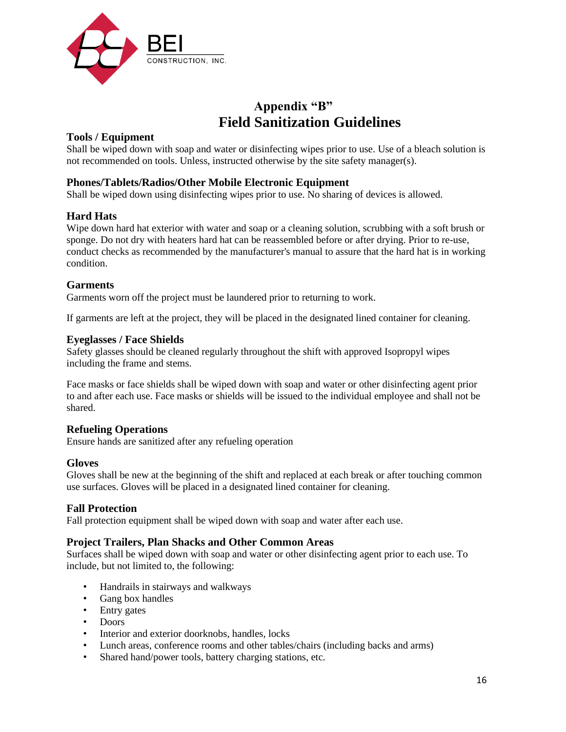![](_page_15_Picture_0.jpeg)

# **Appendix "B" Field Sanitization Guidelines**

# **Tools / Equipment**

Shall be wiped down with soap and water or disinfecting wipes prior to use. Use of a bleach solution is not recommended on tools. Unless, instructed otherwise by the site safety manager(s).

## **Phones/Tablets/Radios/Other Mobile Electronic Equipment**

Shall be wiped down using disinfecting wipes prior to use. No sharing of devices is allowed.

## **Hard Hats**

Wipe down hard hat exterior with water and soap or a cleaning solution, scrubbing with a soft brush or sponge. Do not dry with heaters hard hat can be reassembled before or after drying. Prior to re-use, conduct checks as recommended by the manufacturer's manual to assure that the hard hat is in working condition.

## **Garments**

Garments worn off the project must be laundered prior to returning to work.

If garments are left at the project, they will be placed in the designated lined container for cleaning.

#### **Eyeglasses / Face Shields**

Safety glasses should be cleaned regularly throughout the shift with approved Isopropyl wipes including the frame and stems.

Face masks or face shields shall be wiped down with soap and water or other disinfecting agent prior to and after each use. Face masks or shields will be issued to the individual employee and shall not be shared.

## **Refueling Operations**

Ensure hands are sanitized after any refueling operation

## **Gloves**

Gloves shall be new at the beginning of the shift and replaced at each break or after touching common use surfaces. Gloves will be placed in a designated lined container for cleaning.

## **Fall Protection**

Fall protection equipment shall be wiped down with soap and water after each use.

## **Project Trailers, Plan Shacks and Other Common Areas**

Surfaces shall be wiped down with soap and water or other disinfecting agent prior to each use. To include, but not limited to, the following:

- Handrails in stairways and walkways
- Gang box handles
- Entry gates
- Doors
- Interior and exterior doorknobs, handles, locks
- Lunch areas, conference rooms and other tables/chairs (including backs and arms)
- Shared hand/power tools, battery charging stations, etc.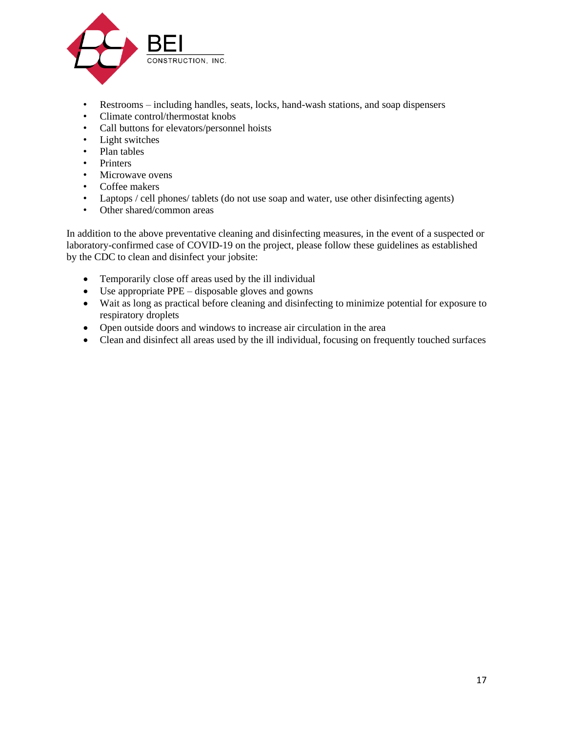![](_page_16_Picture_0.jpeg)

- Restrooms including handles, seats, locks, hand-wash stations, and soap dispensers
- Climate control/thermostat knobs
- Call buttons for elevators/personnel hoists
- Light switches
- Plan tables
- Printers
- Microwave ovens
- Coffee makers
- Laptops / cell phones/ tablets (do not use soap and water, use other disinfecting agents)
- Other shared/common areas

In addition to the above preventative cleaning and disinfecting measures, in the event of a suspected or laboratory-confirmed case of COVID-19 on the project, please follow these guidelines as established by the CDC to clean and disinfect your jobsite:

- Temporarily close off areas used by the ill individual
- Use appropriate PPE disposable gloves and gowns
- Wait as long as practical before cleaning and disinfecting to minimize potential for exposure to respiratory droplets
- Open outside doors and windows to increase air circulation in the area
- Clean and disinfect all areas used by the ill individual, focusing on frequently touched surfaces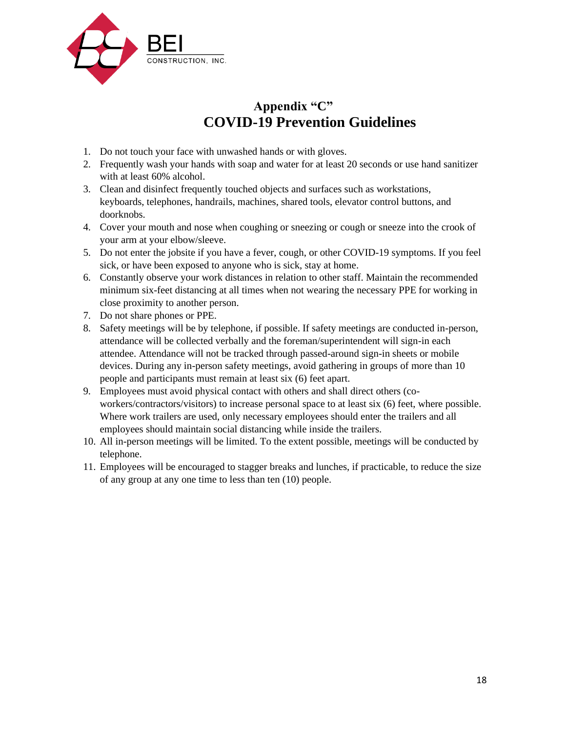![](_page_17_Picture_0.jpeg)

# **Appendix "C" COVID-19 Prevention Guidelines**

- 1. Do not touch your face with unwashed hands or with gloves.
- 2. Frequently wash your hands with soap and water for at least 20 seconds or use hand sanitizer with at least 60% alcohol.
- 3. Clean and disinfect frequently touched objects and surfaces such as workstations, keyboards, telephones, handrails, machines, shared tools, elevator control buttons, and doorknobs.
- 4. Cover your mouth and nose when coughing or sneezing or cough or sneeze into the crook of your arm at your elbow/sleeve.
- 5. Do not enter the jobsite if you have a fever, cough, or other COVID-19 symptoms. If you feel sick, or have been exposed to anyone who is sick, stay at home.
- 6. Constantly observe your work distances in relation to other staff. Maintain the recommended minimum six-feet distancing at all times when not wearing the necessary PPE for working in close proximity to another person.
- 7. Do not share phones or PPE.
- 8. Safety meetings will be by telephone, if possible. If safety meetings are conducted in-person, attendance will be collected verbally and the foreman/superintendent will sign-in each attendee. Attendance will not be tracked through passed-around sign-in sheets or mobile devices. During any in-person safety meetings, avoid gathering in groups of more than 10 people and participants must remain at least six (6) feet apart.
- 9. Employees must avoid physical contact with others and shall direct others (coworkers/contractors/visitors) to increase personal space to at least six (6) feet, where possible. Where work trailers are used, only necessary employees should enter the trailers and all employees should maintain social distancing while inside the trailers.
- 10. All in-person meetings will be limited. To the extent possible, meetings will be conducted by telephone.
- 11. Employees will be encouraged to stagger breaks and lunches, if practicable, to reduce the size of any group at any one time to less than ten (10) people.